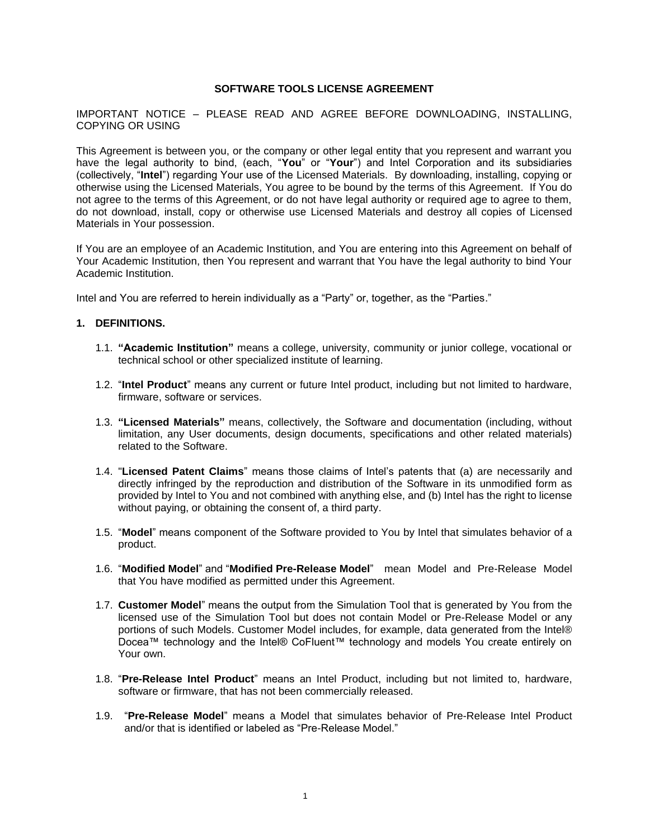#### **SOFTWARE TOOLS LICENSE AGREEMENT**

IMPORTANT NOTICE – PLEASE READ AND AGREE BEFORE DOWNLOADING, INSTALLING, COPYING OR USING

This Agreement is between you, or the company or other legal entity that you represent and warrant you have the legal authority to bind, (each, "**You**" or "**Your**") and Intel Corporation and its subsidiaries (collectively, "**Intel**") regarding Your use of the Licensed Materials. By downloading, installing, copying or otherwise using the Licensed Materials, You agree to be bound by the terms of this Agreement. If You do not agree to the terms of this Agreement, or do not have legal authority or required age to agree to them, do not download, install, copy or otherwise use Licensed Materials and destroy all copies of Licensed Materials in Your possession.

If You are an employee of an Academic Institution, and You are entering into this Agreement on behalf of Your Academic Institution, then You represent and warrant that You have the legal authority to bind Your Academic Institution.

Intel and You are referred to herein individually as a "Party" or, together, as the "Parties."

#### **1. DEFINITIONS.**

- 1.1. **"Academic Institution"** means a college, university, community or junior college, vocational or technical school or other specialized institute of learning.
- 1.2. "**Intel Product**" means any current or future Intel product, including but not limited to hardware, firmware, software or services.
- 1.3. **"Licensed Materials"** means, collectively, the Software and documentation (including, without limitation, any User documents, design documents, specifications and other related materials) related to the Software.
- 1.4. "**Licensed Patent Claims**" means those claims of Intel's patents that (a) are necessarily and directly infringed by the reproduction and distribution of the Software in its unmodified form as provided by Intel to You and not combined with anything else, and (b) Intel has the right to license without paying, or obtaining the consent of, a third party.
- 1.5. "**Model**" means component of the Software provided to You by Intel that simulates behavior of a product.
- 1.6. "**Modified Model**" and "**Modified Pre-Release Model**" mean Model and Pre-Release Model that You have modified as permitted under this Agreement.
- 1.7. **Customer Model**" means the output from the Simulation Tool that is generated by You from the licensed use of the Simulation Tool but does not contain Model or Pre-Release Model or any portions of such Models. Customer Model includes, for example, data generated from the Intel® Docea™ technology and the Intel® CoFluent™ technology and models You create entirely on Your own.
- 1.8. "**Pre-Release Intel Product**" means an Intel Product, including but not limited to, hardware, software or firmware, that has not been commercially released.
- 1.9. "**Pre-Release Model**" means a Model that simulates behavior of Pre-Release Intel Product and/or that is identified or labeled as "Pre-Release Model."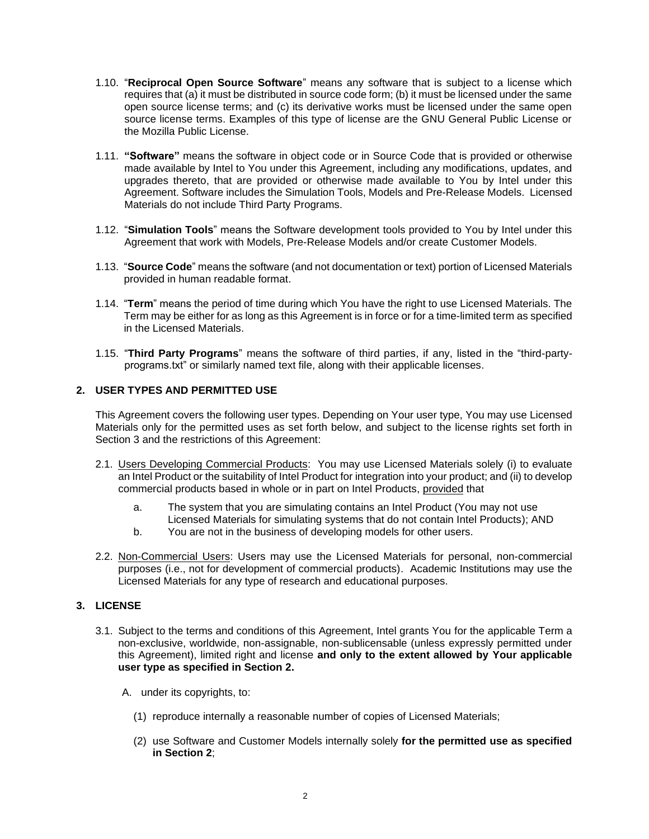- 1.10. "**Reciprocal Open Source Software**" means any software that is subject to a license which requires that (a) it must be distributed in source code form; (b) it must be licensed under the same open source license terms; and (c) its derivative works must be licensed under the same open source license terms. Examples of this type of license are the GNU General Public License or the Mozilla Public License.
- 1.11. **"Software"** means the software in object code or in Source Code that is provided or otherwise made available by Intel to You under this Agreement, including any modifications, updates, and upgrades thereto, that are provided or otherwise made available to You by Intel under this Agreement. Software includes the Simulation Tools, Models and Pre-Release Models. Licensed Materials do not include Third Party Programs.
- 1.12. "**Simulation Tools**" means the Software development tools provided to You by Intel under this Agreement that work with Models, Pre-Release Models and/or create Customer Models.
- 1.13. "**Source Code**" means the software (and not documentation or text) portion of Licensed Materials provided in human readable format.
- 1.14. "**Term**" means the period of time during which You have the right to use Licensed Materials. The Term may be either for as long as this Agreement is in force or for a time-limited term as specified in the Licensed Materials.
- 1.15. "**Third Party Programs**" means the software of third parties, if any, listed in the "third-partyprograms.txt" or similarly named text file, along with their applicable licenses.

## **2. USER TYPES AND PERMITTED USE**

This Agreement covers the following user types. Depending on Your user type, You may use Licensed Materials only for the permitted uses as set forth below, and subject to the license rights set forth in Section 3 and the restrictions of this Agreement:

- 2.1. Users Developing Commercial Products: You may use Licensed Materials solely (i) to evaluate an Intel Product or the suitability of Intel Product for integration into your product; and (ii) to develop commercial products based in whole or in part on Intel Products, provided that
	- a. The system that you are simulating contains an Intel Product (You may not use Licensed Materials for simulating systems that do not contain Intel Products); AND
	- b. You are not in the business of developing models for other users.
- 2.2. Non-Commercial Users: Users may use the Licensed Materials for personal, non-commercial purposes (i.e., not for development of commercial products). Academic Institutions may use the Licensed Materials for any type of research and educational purposes.

# **3. LICENSE**

- 3.1. Subject to the terms and conditions of this Agreement, Intel grants You for the applicable Term a non-exclusive, worldwide, non-assignable, non-sublicensable (unless expressly permitted under this Agreement), limited right and license **and only to the extent allowed by Your applicable user type as specified in Section 2.**
	- A. under its copyrights, to:
		- (1) reproduce internally a reasonable number of copies of Licensed Materials;
		- (2) use Software and Customer Models internally solely **for the permitted use as specified in Section 2**;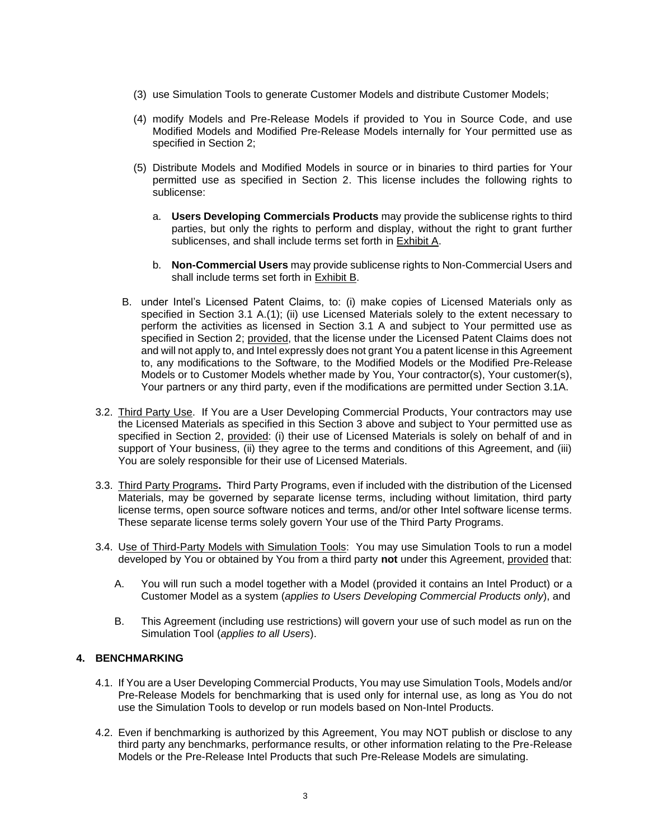- (3) use Simulation Tools to generate Customer Models and distribute Customer Models;
- (4) modify Models and Pre-Release Models if provided to You in Source Code, and use Modified Models and Modified Pre-Release Models internally for Your permitted use as specified in Section 2;
- (5) Distribute Models and Modified Models in source or in binaries to third parties for Your permitted use as specified in Section 2. This license includes the following rights to sublicense:
	- a. **Users Developing Commercials Products** may provide the sublicense rights to third parties, but only the rights to perform and display, without the right to grant further sublicenses, and shall include terms set forth in Exhibit A.
	- b. **Non-Commercial Users** may provide sublicense rights to Non-Commercial Users and shall include terms set forth in Exhibit B.
- B. under Intel's Licensed Patent Claims, to: (i) make copies of Licensed Materials only as specified in Section 3.1 A.(1); (ii) use Licensed Materials solely to the extent necessary to perform the activities as licensed in Section 3.1 A and subject to Your permitted use as specified in Section 2; provided, that the license under the Licensed Patent Claims does not and will not apply to, and Intel expressly does not grant You a patent license in this Agreement to, any modifications to the Software, to the Modified Models or the Modified Pre-Release Models or to Customer Models whether made by You, Your contractor(s), Your customer(s), Your partners or any third party, even if the modifications are permitted under Section 3.1A.
- 3.2. Third Party Use. If You are a User Developing Commercial Products, Your contractors may use the Licensed Materials as specified in this Section 3 above and subject to Your permitted use as specified in Section 2, provided: (i) their use of Licensed Materials is solely on behalf of and in support of Your business, (ii) they agree to the terms and conditions of this Agreement, and (iii) You are solely responsible for their use of Licensed Materials.
- 3.3. Third Party Programs**.** Third Party Programs, even if included with the distribution of the Licensed Materials, may be governed by separate license terms, including without limitation, third party license terms, open source software notices and terms, and/or other Intel software license terms. These separate license terms solely govern Your use of the Third Party Programs.
- 3.4. Use of Third-Party Models with Simulation Tools: You may use Simulation Tools to run a model developed by You or obtained by You from a third party **not** under this Agreement, provided that:
	- A. You will run such a model together with a Model (provided it contains an Intel Product) or a Customer Model as a system (*applies to Users Developing Commercial Products only*), and
	- B. This Agreement (including use restrictions) will govern your use of such model as run on the Simulation Tool (*applies to all Users*).

# **4. BENCHMARKING**

- 4.1. If You are a User Developing Commercial Products, You may use Simulation Tools, Models and/or Pre-Release Models for benchmarking that is used only for internal use, as long as You do not use the Simulation Tools to develop or run models based on Non-Intel Products.
- 4.2. Even if benchmarking is authorized by this Agreement, You may NOT publish or disclose to any third party any benchmarks, performance results, or other information relating to the Pre-Release Models or the Pre-Release Intel Products that such Pre-Release Models are simulating.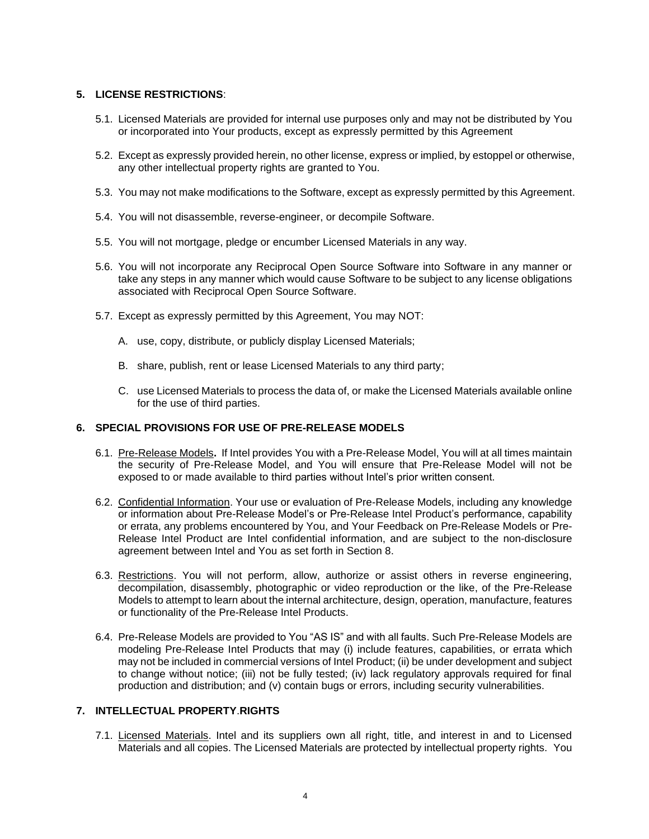### **5. LICENSE RESTRICTIONS**:

- 5.1. Licensed Materials are provided for internal use purposes only and may not be distributed by You or incorporated into Your products, except as expressly permitted by this Agreement
- 5.2. Except as expressly provided herein, no other license, express or implied, by estoppel or otherwise, any other intellectual property rights are granted to You.
- 5.3. You may not make modifications to the Software, except as expressly permitted by this Agreement.
- 5.4. You will not disassemble, reverse-engineer, or decompile Software.
- 5.5. You will not mortgage, pledge or encumber Licensed Materials in any way.
- 5.6. You will not incorporate any Reciprocal Open Source Software into Software in any manner or take any steps in any manner which would cause Software to be subject to any license obligations associated with Reciprocal Open Source Software.
- 5.7. Except as expressly permitted by this Agreement, You may NOT:
	- A. use, copy, distribute, or publicly display Licensed Materials;
	- B. share, publish, rent or lease Licensed Materials to any third party;
	- C. use Licensed Materials to process the data of, or make the Licensed Materials available online for the use of third parties.

### **6. SPECIAL PROVISIONS FOR USE OF PRE-RELEASE MODELS**

- 6.1. Pre-Release Models**.** If Intel provides You with a Pre-Release Model, You will at all times maintain the security of Pre-Release Model, and You will ensure that Pre-Release Model will not be exposed to or made available to third parties without Intel's prior written consent.
- 6.2. Confidential Information. Your use or evaluation of Pre-Release Models, including any knowledge or information about Pre-Release Model's or Pre-Release Intel Product's performance, capability or errata, any problems encountered by You, and Your Feedback on Pre-Release Models or Pre-Release Intel Product are Intel confidential information, and are subject to the non-disclosure agreement between Intel and You as set forth in Section 8.
- 6.3. Restrictions. You will not perform, allow, authorize or assist others in reverse engineering, decompilation, disassembly, photographic or video reproduction or the like, of the Pre-Release Models to attempt to learn about the internal architecture, design, operation, manufacture, features or functionality of the Pre-Release Intel Products.
- 6.4. Pre-Release Models are provided to You "AS IS" and with all faults. Such Pre-Release Models are modeling Pre-Release Intel Products that may (i) include features, capabilities, or errata which may not be included in commercial versions of Intel Product; (ii) be under development and subject to change without notice; (iii) not be fully tested; (iv) lack regulatory approvals required for final production and distribution; and (v) contain bugs or errors, including security vulnerabilities.

# **7. INTELLECTUAL PROPERTY**.**RIGHTS**

7.1. Licensed Materials. Intel and its suppliers own all right, title, and interest in and to Licensed Materials and all copies. The Licensed Materials are protected by intellectual property rights. You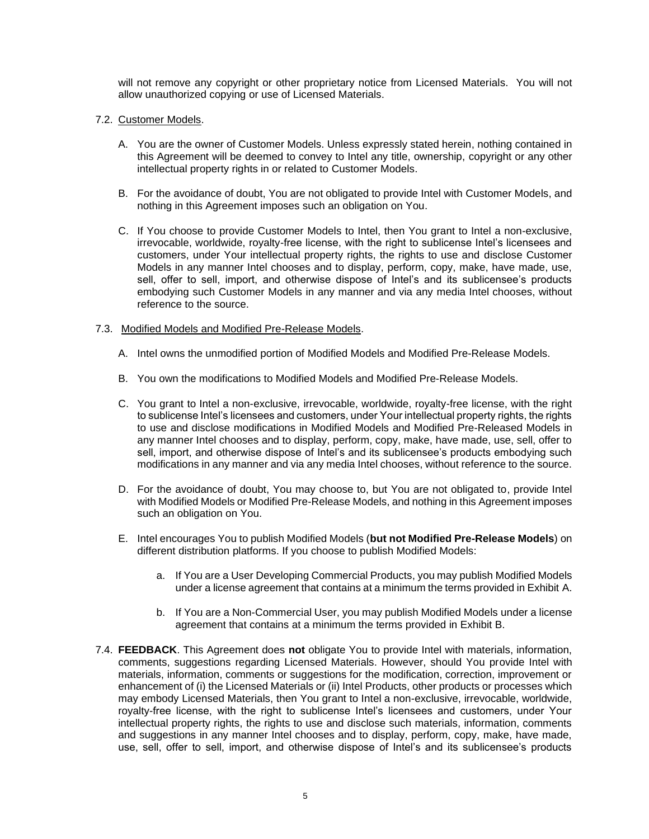will not remove any copyright or other proprietary notice from Licensed Materials. You will not allow unauthorized copying or use of Licensed Materials.

### 7.2. Customer Models.

- A. You are the owner of Customer Models. Unless expressly stated herein, nothing contained in this Agreement will be deemed to convey to Intel any title, ownership, copyright or any other intellectual property rights in or related to Customer Models.
- B. For the avoidance of doubt, You are not obligated to provide Intel with Customer Models, and nothing in this Agreement imposes such an obligation on You.
- C. If You choose to provide Customer Models to Intel, then You grant to Intel a non-exclusive, irrevocable, worldwide, royalty-free license, with the right to sublicense Intel's licensees and customers, under Your intellectual property rights, the rights to use and disclose Customer Models in any manner Intel chooses and to display, perform, copy, make, have made, use, sell, offer to sell, import, and otherwise dispose of Intel's and its sublicensee's products embodying such Customer Models in any manner and via any media Intel chooses, without reference to the source.

### 7.3. Modified Models and Modified Pre-Release Models.

- A. Intel owns the unmodified portion of Modified Models and Modified Pre-Release Models.
- B. You own the modifications to Modified Models and Modified Pre-Release Models.
- C. You grant to Intel a non-exclusive, irrevocable, worldwide, royalty-free license, with the right to sublicense Intel's licensees and customers, under Your intellectual property rights, the rights to use and disclose modifications in Modified Models and Modified Pre-Released Models in any manner Intel chooses and to display, perform, copy, make, have made, use, sell, offer to sell, import, and otherwise dispose of Intel's and its sublicensee's products embodying such modifications in any manner and via any media Intel chooses, without reference to the source.
- D. For the avoidance of doubt, You may choose to, but You are not obligated to, provide Intel with Modified Models or Modified Pre-Release Models, and nothing in this Agreement imposes such an obligation on You.
- E. Intel encourages You to publish Modified Models (**but not Modified Pre-Release Models**) on different distribution platforms. If you choose to publish Modified Models:
	- a. If You are a User Developing Commercial Products, you may publish Modified Models under a license agreement that contains at a minimum the terms provided in Exhibit A.
	- b. If You are a Non-Commercial User, you may publish Modified Models under a license agreement that contains at a minimum the terms provided in Exhibit B.
- 7.4. **FEEDBACK**. This Agreement does **not** obligate You to provide Intel with materials, information, comments, suggestions regarding Licensed Materials. However, should You provide Intel with materials, information, comments or suggestions for the modification, correction, improvement or enhancement of (i) the Licensed Materials or (ii) Intel Products, other products or processes which may embody Licensed Materials, then You grant to Intel a non-exclusive, irrevocable, worldwide, royalty-free license, with the right to sublicense Intel's licensees and customers, under Your intellectual property rights, the rights to use and disclose such materials, information, comments and suggestions in any manner Intel chooses and to display, perform, copy, make, have made, use, sell, offer to sell, import, and otherwise dispose of Intel's and its sublicensee's products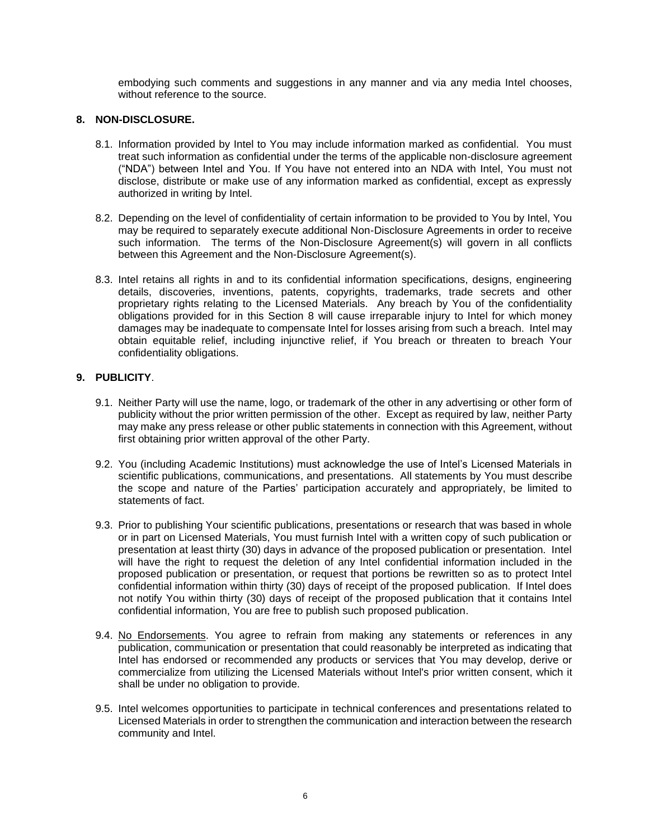embodying such comments and suggestions in any manner and via any media Intel chooses, without reference to the source.

## **8. NON-DISCLOSURE.**

- 8.1. Information provided by Intel to You may include information marked as confidential. You must treat such information as confidential under the terms of the applicable non-disclosure agreement ("NDA") between Intel and You. If You have not entered into an NDA with Intel, You must not disclose, distribute or make use of any information marked as confidential, except as expressly authorized in writing by Intel.
- 8.2. Depending on the level of confidentiality of certain information to be provided to You by Intel, You may be required to separately execute additional Non-Disclosure Agreements in order to receive such information. The terms of the Non-Disclosure Agreement(s) will govern in all conflicts between this Agreement and the Non-Disclosure Agreement(s).
- 8.3. Intel retains all rights in and to its confidential information specifications, designs, engineering details, discoveries, inventions, patents, copyrights, trademarks, trade secrets and other proprietary rights relating to the Licensed Materials. Any breach by You of the confidentiality obligations provided for in this Section 8 will cause irreparable injury to Intel for which money damages may be inadequate to compensate Intel for losses arising from such a breach. Intel may obtain equitable relief, including injunctive relief, if You breach or threaten to breach Your confidentiality obligations.

### **9. PUBLICITY**.

- 9.1. Neither Party will use the name, logo, or trademark of the other in any advertising or other form of publicity without the prior written permission of the other. Except as required by law, neither Party may make any press release or other public statements in connection with this Agreement, without first obtaining prior written approval of the other Party.
- 9.2. You (including Academic Institutions) must acknowledge the use of Intel's Licensed Materials in scientific publications, communications, and presentations. All statements by You must describe the scope and nature of the Parties' participation accurately and appropriately, be limited to statements of fact.
- 9.3. Prior to publishing Your scientific publications, presentations or research that was based in whole or in part on Licensed Materials, You must furnish Intel with a written copy of such publication or presentation at least thirty (30) days in advance of the proposed publication or presentation. Intel will have the right to request the deletion of any Intel confidential information included in the proposed publication or presentation, or request that portions be rewritten so as to protect Intel confidential information within thirty (30) days of receipt of the proposed publication. If Intel does not notify You within thirty (30) days of receipt of the proposed publication that it contains Intel confidential information, You are free to publish such proposed publication.
- 9.4. No Endorsements. You agree to refrain from making any statements or references in any publication, communication or presentation that could reasonably be interpreted as indicating that Intel has endorsed or recommended any products or services that You may develop, derive or commercialize from utilizing the Licensed Materials without Intel's prior written consent, which it shall be under no obligation to provide.
- 9.5. Intel welcomes opportunities to participate in technical conferences and presentations related to Licensed Materials in order to strengthen the communication and interaction between the research community and Intel.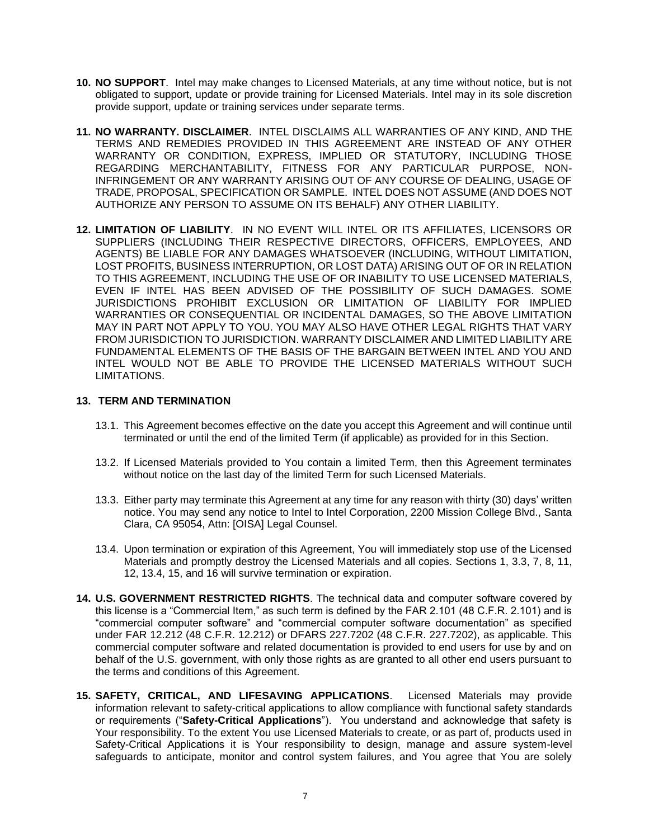- **10. NO SUPPORT**.Intel may make changes to Licensed Materials, at any time without notice, but is not obligated to support, update or provide training for Licensed Materials. Intel may in its sole discretion provide support, update or training services under separate terms.
- **11. NO WARRANTY. DISCLAIMER**. INTEL DISCLAIMS ALL WARRANTIES OF ANY KIND, AND THE TERMS AND REMEDIES PROVIDED IN THIS AGREEMENT ARE INSTEAD OF ANY OTHER WARRANTY OR CONDITION, EXPRESS, IMPLIED OR STATUTORY, INCLUDING THOSE REGARDING MERCHANTABILITY, FITNESS FOR ANY PARTICULAR PURPOSE, NON-INFRINGEMENT OR ANY WARRANTY ARISING OUT OF ANY COURSE OF DEALING, USAGE OF TRADE, PROPOSAL, SPECIFICATION OR SAMPLE. INTEL DOES NOT ASSUME (AND DOES NOT AUTHORIZE ANY PERSON TO ASSUME ON ITS BEHALF) ANY OTHER LIABILITY.
- **12. LIMITATION OF LIABILITY**. IN NO EVENT WILL INTEL OR ITS AFFILIATES, LICENSORS OR SUPPLIERS (INCLUDING THEIR RESPECTIVE DIRECTORS, OFFICERS, EMPLOYEES, AND AGENTS) BE LIABLE FOR ANY DAMAGES WHATSOEVER (INCLUDING, WITHOUT LIMITATION, LOST PROFITS, BUSINESS INTERRUPTION, OR LOST DATA) ARISING OUT OF OR IN RELATION TO THIS AGREEMENT, INCLUDING THE USE OF OR INABILITY TO USE LICENSED MATERIALS, EVEN IF INTEL HAS BEEN ADVISED OF THE POSSIBILITY OF SUCH DAMAGES. SOME JURISDICTIONS PROHIBIT EXCLUSION OR LIMITATION OF LIABILITY FOR IMPLIED WARRANTIES OR CONSEQUENTIAL OR INCIDENTAL DAMAGES, SO THE ABOVE LIMITATION MAY IN PART NOT APPLY TO YOU. YOU MAY ALSO HAVE OTHER LEGAL RIGHTS THAT VARY FROM JURISDICTION TO JURISDICTION. WARRANTY DISCLAIMER AND LIMITED LIABILITY ARE FUNDAMENTAL ELEMENTS OF THE BASIS OF THE BARGAIN BETWEEN INTEL AND YOU AND INTEL WOULD NOT BE ABLE TO PROVIDE THE LICENSED MATERIALS WITHOUT SUCH LIMITATIONS.

### **13. TERM AND TERMINATION**

- 13.1. This Agreement becomes effective on the date you accept this Agreement and will continue until terminated or until the end of the limited Term (if applicable) as provided for in this Section.
- 13.2. If Licensed Materials provided to You contain a limited Term, then this Agreement terminates without notice on the last day of the limited Term for such Licensed Materials.
- 13.3. Either party may terminate this Agreement at any time for any reason with thirty (30) days' written notice. You may send any notice to Intel to Intel Corporation, 2200 Mission College Blvd., Santa Clara, CA 95054, Attn: [OISA] Legal Counsel.
- 13.4. Upon termination or expiration of this Agreement, You will immediately stop use of the Licensed Materials and promptly destroy the Licensed Materials and all copies. Sections 1, 3.3, 7, 8, 11, 12, 13.4, 15, and 16 will survive termination or expiration.
- **14. U.S. GOVERNMENT RESTRICTED RIGHTS**. The technical data and computer software covered by this license is a "Commercial Item," as such term is defined by the FAR 2.101 (48 C.F.R. 2.101) and is "commercial computer software" and "commercial computer software documentation" as specified under FAR 12.212 (48 C.F.R. 12.212) or DFARS 227.7202 (48 C.F.R. 227.7202), as applicable. This commercial computer software and related documentation is provided to end users for use by and on behalf of the U.S. government, with only those rights as are granted to all other end users pursuant to the terms and conditions of this Agreement.
- **15. SAFETY, CRITICAL, AND LIFESAVING APPLICATIONS**. Licensed Materials may provide information relevant to safety-critical applications to allow compliance with functional safety standards or requirements ("**Safety-Critical Applications**"). You understand and acknowledge that safety is Your responsibility. To the extent You use Licensed Materials to create, or as part of, products used in Safety-Critical Applications it is Your responsibility to design, manage and assure system-level safeguards to anticipate, monitor and control system failures, and You agree that You are solely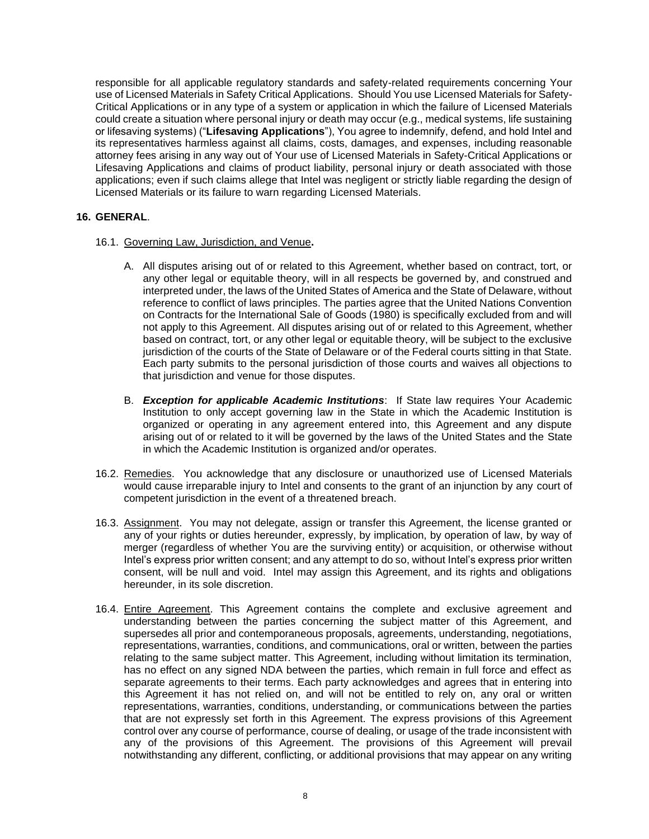responsible for all applicable regulatory standards and safety-related requirements concerning Your use of Licensed Materials in Safety Critical Applications. Should You use Licensed Materials for Safety-Critical Applications or in any type of a system or application in which the failure of Licensed Materials could create a situation where personal injury or death may occur (e.g., medical systems, life sustaining or lifesaving systems) ("**Lifesaving Applications**"), You agree to indemnify, defend, and hold Intel and its representatives harmless against all claims, costs, damages, and expenses, including reasonable attorney fees arising in any way out of Your use of Licensed Materials in Safety-Critical Applications or Lifesaving Applications and claims of product liability, personal injury or death associated with those applications; even if such claims allege that Intel was negligent or strictly liable regarding the design of Licensed Materials or its failure to warn regarding Licensed Materials.

## **16. GENERAL**.

- 16.1. Governing Law, Jurisdiction, and Venue**.**
	- A. All disputes arising out of or related to this Agreement, whether based on contract, tort, or any other legal or equitable theory, will in all respects be governed by, and construed and interpreted under, the laws of the United States of America and the State of Delaware, without reference to conflict of laws principles. The parties agree that the United Nations Convention on Contracts for the International Sale of Goods (1980) is specifically excluded from and will not apply to this Agreement. All disputes arising out of or related to this Agreement, whether based on contract, tort, or any other legal or equitable theory, will be subject to the exclusive jurisdiction of the courts of the State of Delaware or of the Federal courts sitting in that State. Each party submits to the personal jurisdiction of those courts and waives all objections to that jurisdiction and venue for those disputes.
	- B. *Exception for applicable Academic Institutions*: If State law requires Your Academic Institution to only accept governing law in the State in which the Academic Institution is organized or operating in any agreement entered into, this Agreement and any dispute arising out of or related to it will be governed by the laws of the United States and the State in which the Academic Institution is organized and/or operates.
- 16.2. Remedies. You acknowledge that any disclosure or unauthorized use of Licensed Materials would cause irreparable injury to Intel and consents to the grant of an injunction by any court of competent jurisdiction in the event of a threatened breach.
- 16.3. Assignment. You may not delegate, assign or transfer this Agreement, the license granted or any of your rights or duties hereunder, expressly, by implication, by operation of law, by way of merger (regardless of whether You are the surviving entity) or acquisition, or otherwise without Intel's express prior written consent; and any attempt to do so, without Intel's express prior written consent, will be null and void. Intel may assign this Agreement, and its rights and obligations hereunder, in its sole discretion.
- 16.4. Entire Agreement. This Agreement contains the complete and exclusive agreement and understanding between the parties concerning the subject matter of this Agreement, and supersedes all prior and contemporaneous proposals, agreements, understanding, negotiations, representations, warranties, conditions, and communications, oral or written, between the parties relating to the same subject matter. This Agreement, including without limitation its termination, has no effect on any signed NDA between the parties, which remain in full force and effect as separate agreements to their terms. Each party acknowledges and agrees that in entering into this Agreement it has not relied on, and will not be entitled to rely on, any oral or written representations, warranties, conditions, understanding, or communications between the parties that are not expressly set forth in this Agreement. The express provisions of this Agreement control over any course of performance, course of dealing, or usage of the trade inconsistent with any of the provisions of this Agreement. The provisions of this Agreement will prevail notwithstanding any different, conflicting, or additional provisions that may appear on any writing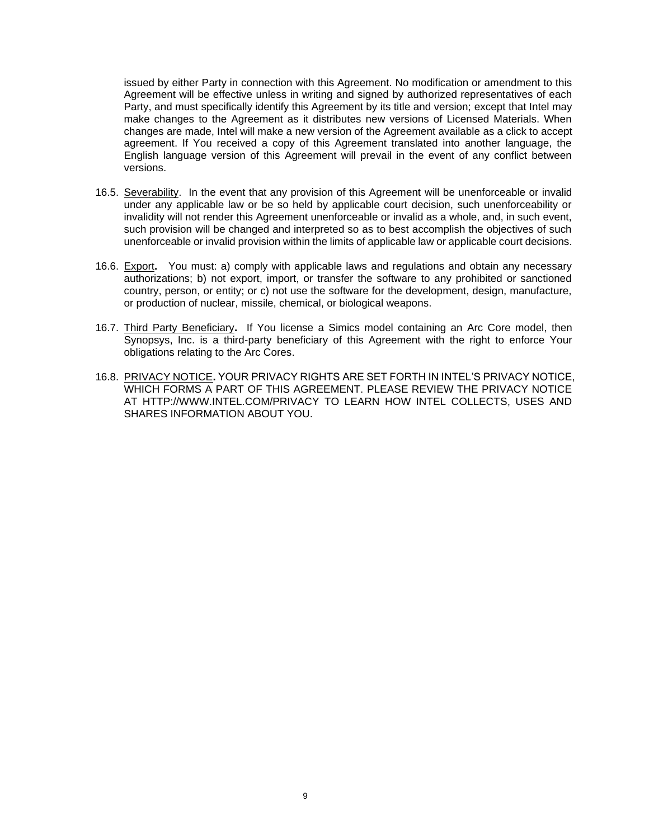issued by either Party in connection with this Agreement. No modification or amendment to this Agreement will be effective unless in writing and signed by authorized representatives of each Party, and must specifically identify this Agreement by its title and version; except that Intel may make changes to the Agreement as it distributes new versions of Licensed Materials. When changes are made, Intel will make a new version of the Agreement available as a click to accept agreement. If You received a copy of this Agreement translated into another language, the English language version of this Agreement will prevail in the event of any conflict between versions.

- 16.5. Severability. In the event that any provision of this Agreement will be unenforceable or invalid under any applicable law or be so held by applicable court decision, such unenforceability or invalidity will not render this Agreement unenforceable or invalid as a whole, and, in such event, such provision will be changed and interpreted so as to best accomplish the objectives of such unenforceable or invalid provision within the limits of applicable law or applicable court decisions.
- 16.6. Export**.** You must: a) comply with applicable laws and regulations and obtain any necessary authorizations; b) not export, import, or transfer the software to any prohibited or sanctioned country, person, or entity; or c) not use the software for the development, design, manufacture, or production of nuclear, missile, chemical, or biological weapons.
- 16.7. Third Party Beneficiary**.** If You license a Simics model containing an Arc Core model, then Synopsys, Inc. is a third-party beneficiary of this Agreement with the right to enforce Your obligations relating to the Arc Cores.
- 16.8. PRIVACY NOTICE**.** YOUR PRIVACY RIGHTS ARE SET FORTH IN INTEL'S PRIVACY NOTICE, WHICH FORMS A PART OF THIS AGREEMENT. PLEASE REVIEW THE PRIVACY NOTICE AT HTTP://WWW.INTEL.COM/PRIVACY TO LEARN HOW INTEL COLLECTS, USES AND SHARES INFORMATION ABOUT YOU.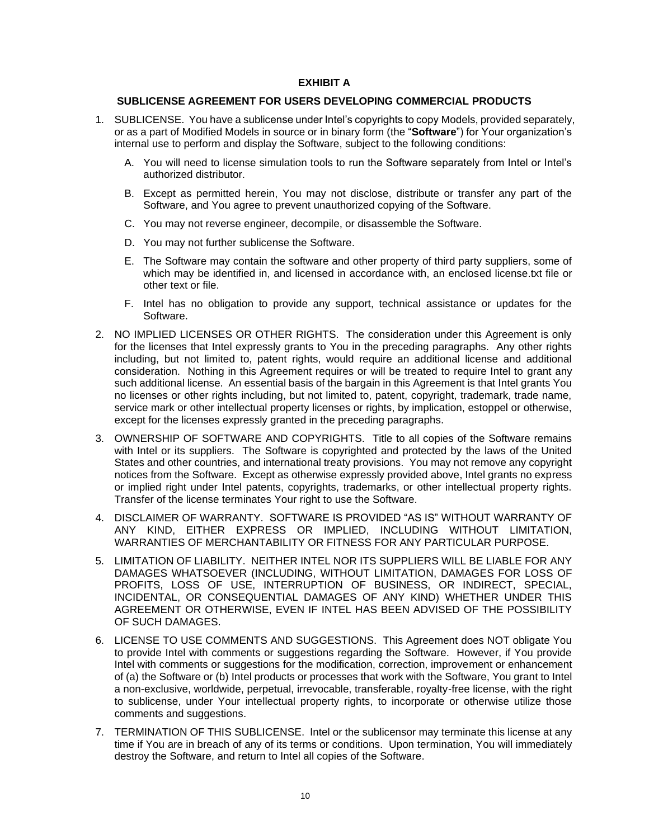### **EXHIBIT A**

#### **SUBLICENSE AGREEMENT FOR USERS DEVELOPING COMMERCIAL PRODUCTS**

- 1. SUBLICENSE. You have a sublicense under Intel's copyrights to copy Models, provided separately, or as a part of Modified Models in source or in binary form (the "**Software**") for Your organization's internal use to perform and display the Software, subject to the following conditions:
	- A. You will need to license simulation tools to run the Software separately from Intel or Intel's authorized distributor.
	- B. Except as permitted herein, You may not disclose, distribute or transfer any part of the Software, and You agree to prevent unauthorized copying of the Software.
	- C. You may not reverse engineer, decompile, or disassemble the Software.
	- D. You may not further sublicense the Software.
	- E. The Software may contain the software and other property of third party suppliers, some of which may be identified in, and licensed in accordance with, an enclosed license.txt file or other text or file.
	- F. Intel has no obligation to provide any support, technical assistance or updates for the Software.
- 2. NO IMPLIED LICENSES OR OTHER RIGHTS. The consideration under this Agreement is only for the licenses that Intel expressly grants to You in the preceding paragraphs. Any other rights including, but not limited to, patent rights, would require an additional license and additional consideration. Nothing in this Agreement requires or will be treated to require Intel to grant any such additional license. An essential basis of the bargain in this Agreement is that Intel grants You no licenses or other rights including, but not limited to, patent, copyright, trademark, trade name, service mark or other intellectual property licenses or rights, by implication, estoppel or otherwise, except for the licenses expressly granted in the preceding paragraphs.
- 3. OWNERSHIP OF SOFTWARE AND COPYRIGHTS. Title to all copies of the Software remains with Intel or its suppliers. The Software is copyrighted and protected by the laws of the United States and other countries, and international treaty provisions. You may not remove any copyright notices from the Software. Except as otherwise expressly provided above, Intel grants no express or implied right under Intel patents, copyrights, trademarks, or other intellectual property rights. Transfer of the license terminates Your right to use the Software.
- 4. DISCLAIMER OF WARRANTY. SOFTWARE IS PROVIDED "AS IS" WITHOUT WARRANTY OF ANY KIND, EITHER EXPRESS OR IMPLIED, INCLUDING WITHOUT LIMITATION, WARRANTIES OF MERCHANTABILITY OR FITNESS FOR ANY PARTICULAR PURPOSE.
- 5. LIMITATION OF LIABILITY. NEITHER INTEL NOR ITS SUPPLIERS WILL BE LIABLE FOR ANY DAMAGES WHATSOEVER (INCLUDING, WITHOUT LIMITATION, DAMAGES FOR LOSS OF PROFITS, LOSS OF USE, INTERRUPTION OF BUSINESS, OR INDIRECT, SPECIAL, INCIDENTAL, OR CONSEQUENTIAL DAMAGES OF ANY KIND) WHETHER UNDER THIS AGREEMENT OR OTHERWISE, EVEN IF INTEL HAS BEEN ADVISED OF THE POSSIBILITY OF SUCH DAMAGES.
- 6. LICENSE TO USE COMMENTS AND SUGGESTIONS. This Agreement does NOT obligate You to provide Intel with comments or suggestions regarding the Software. However, if You provide Intel with comments or suggestions for the modification, correction, improvement or enhancement of (a) the Software or (b) Intel products or processes that work with the Software, You grant to Intel a non-exclusive, worldwide, perpetual, irrevocable, transferable, royalty-free license, with the right to sublicense, under Your intellectual property rights, to incorporate or otherwise utilize those comments and suggestions.
- 7. TERMINATION OF THIS SUBLICENSE. Intel or the sublicensor may terminate this license at any time if You are in breach of any of its terms or conditions. Upon termination, You will immediately destroy the Software, and return to Intel all copies of the Software.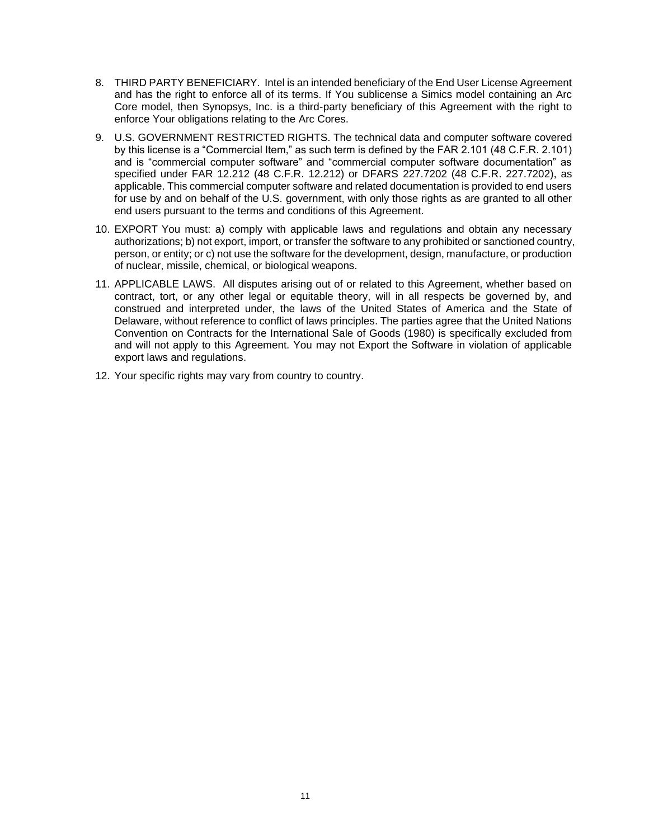- 8. THIRD PARTY BENEFICIARY. Intel is an intended beneficiary of the End User License Agreement and has the right to enforce all of its terms. If You sublicense a Simics model containing an Arc Core model, then Synopsys, Inc. is a third-party beneficiary of this Agreement with the right to enforce Your obligations relating to the Arc Cores.
- 9. U.S. GOVERNMENT RESTRICTED RIGHTS. The technical data and computer software covered by this license is a "Commercial Item," as such term is defined by the FAR 2.101 (48 C.F.R. 2.101) and is "commercial computer software" and "commercial computer software documentation" as specified under FAR 12.212 (48 C.F.R. 12.212) or DFARS 227.7202 (48 C.F.R. 227.7202), as applicable. This commercial computer software and related documentation is provided to end users for use by and on behalf of the U.S. government, with only those rights as are granted to all other end users pursuant to the terms and conditions of this Agreement.
- 10. EXPORT You must: a) comply with applicable laws and regulations and obtain any necessary authorizations; b) not export, import, or transfer the software to any prohibited or sanctioned country, person, or entity; or c) not use the software for the development, design, manufacture, or production of nuclear, missile, chemical, or biological weapons.
- 11. APPLICABLE LAWS. All disputes arising out of or related to this Agreement, whether based on contract, tort, or any other legal or equitable theory, will in all respects be governed by, and construed and interpreted under, the laws of the United States of America and the State of Delaware, without reference to conflict of laws principles. The parties agree that the United Nations Convention on Contracts for the International Sale of Goods (1980) is specifically excluded from and will not apply to this Agreement. You may not Export the Software in violation of applicable export laws and regulations.
- 12. Your specific rights may vary from country to country.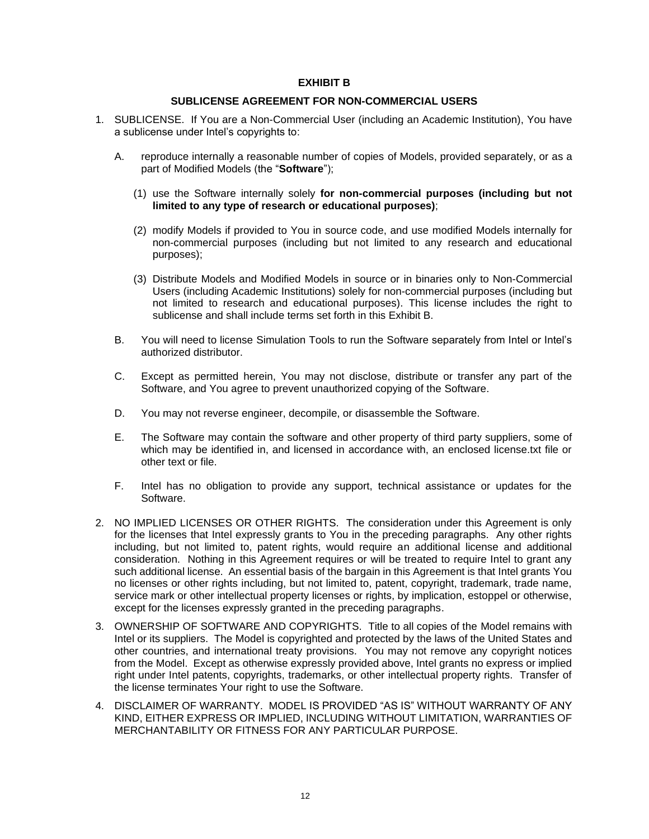### **EXHIBIT B**

#### **SUBLICENSE AGREEMENT FOR NON-COMMERCIAL USERS**

- 1. SUBLICENSE. If You are a Non-Commercial User (including an Academic Institution), You have a sublicense under Intel's copyrights to:
	- A. reproduce internally a reasonable number of copies of Models, provided separately, or as a part of Modified Models (the "**Software**");
		- (1) use the Software internally solely **for non-commercial purposes (including but not limited to any type of research or educational purposes)**;
		- (2) modify Models if provided to You in source code, and use modified Models internally for non-commercial purposes (including but not limited to any research and educational purposes);
		- (3) Distribute Models and Modified Models in source or in binaries only to Non-Commercial Users (including Academic Institutions) solely for non-commercial purposes (including but not limited to research and educational purposes). This license includes the right to sublicense and shall include terms set forth in this Exhibit B.
	- B. You will need to license Simulation Tools to run the Software separately from Intel or Intel's authorized distributor.
	- C. Except as permitted herein, You may not disclose, distribute or transfer any part of the Software, and You agree to prevent unauthorized copying of the Software.
	- D. You may not reverse engineer, decompile, or disassemble the Software.
	- E. The Software may contain the software and other property of third party suppliers, some of which may be identified in, and licensed in accordance with, an enclosed license.txt file or other text or file.
	- F. Intel has no obligation to provide any support, technical assistance or updates for the Software.
- 2. NO IMPLIED LICENSES OR OTHER RIGHTS. The consideration under this Agreement is only for the licenses that Intel expressly grants to You in the preceding paragraphs. Any other rights including, but not limited to, patent rights, would require an additional license and additional consideration. Nothing in this Agreement requires or will be treated to require Intel to grant any such additional license. An essential basis of the bargain in this Agreement is that Intel grants You no licenses or other rights including, but not limited to, patent, copyright, trademark, trade name, service mark or other intellectual property licenses or rights, by implication, estoppel or otherwise, except for the licenses expressly granted in the preceding paragraphs.
- 3. OWNERSHIP OF SOFTWARE AND COPYRIGHTS. Title to all copies of the Model remains with Intel or its suppliers. The Model is copyrighted and protected by the laws of the United States and other countries, and international treaty provisions. You may not remove any copyright notices from the Model. Except as otherwise expressly provided above, Intel grants no express or implied right under Intel patents, copyrights, trademarks, or other intellectual property rights. Transfer of the license terminates Your right to use the Software.
- 4. DISCLAIMER OF WARRANTY. MODEL IS PROVIDED "AS IS" WITHOUT WARRANTY OF ANY KIND, EITHER EXPRESS OR IMPLIED, INCLUDING WITHOUT LIMITATION, WARRANTIES OF MERCHANTABILITY OR FITNESS FOR ANY PARTICULAR PURPOSE.